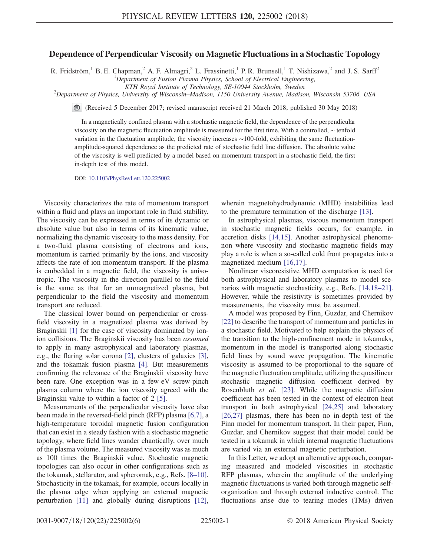## Dependence of Perpendicular Viscosity on Magnetic Fluctuations in a Stochastic Topology

R. Fridström,<sup>1</sup> B. E. Chapman,<sup>2</sup> A. F. Almagri,<sup>2</sup> L. Frassinetti,<sup>1</sup> P. R. Brunsell,<sup>1</sup> T. Nishizawa,<sup>2</sup> and J. S. Sarff<sup>2</sup>

<sup>1</sup>Department of Fusion Plasma Physics, School of Electrical Engineering,

KTH Royal Institute of Technology, SE-10044 Stockholm, Sweden <sup>2</sup>

 $\Omega$ Pepartment of Physics, University of Wisconsin–Madison, 1150 University Avenue, Madison, Wisconsin 53706, USA

(Received 5 December 2017; revised manuscript received 21 March 2018; published 30 May 2018)

In a magnetically confined plasma with a stochastic magnetic field, the dependence of the perpendicular viscosity on the magnetic fluctuation amplitude is measured for the first time. With a controlled, ∼ tenfold variation in the fluctuation amplitude, the viscosity increases ∼100-fold, exhibiting the same fluctuationamplitude-squared dependence as the predicted rate of stochastic field line diffusion. The absolute value of the viscosity is well predicted by a model based on momentum transport in a stochastic field, the first in-depth test of this model.

DOI: [10.1103/PhysRevLett.120.225002](https://doi.org/10.1103/PhysRevLett.120.225002)

Viscosity characterizes the rate of momentum transport within a fluid and plays an important role in fluid stability. The viscosity can be expressed in terms of its dynamic or absolute value but also in terms of its kinematic value, normalizing the dynamic viscosity to the mass density. For a two-fluid plasma consisting of electrons and ions, momentum is carried primarily by the ions, and viscosity affects the rate of ion momentum transport. If the plasma is embedded in a magnetic field, the viscosity is anisotropic. The viscosity in the direction parallel to the field is the same as that for an unmagnetized plasma, but perpendicular to the field the viscosity and momentum transport are reduced.

The classical lower bound on perpendicular or crossfield viscosity in a magnetized plasma was derived by Braginskii [\[1\]](#page-4-0) for the case of viscosity dominated by ionion collisions. The Braginskii viscosity has been assumed to apply in many astrophysical and laboratory plasmas, e.g., the flaring solar corona [\[2\],](#page-4-1) clusters of galaxies [\[3\]](#page-4-2), and the tokamak fusion plasma [\[4\]](#page-4-3). But measurements confirming the relevance of the Braginskii viscosity have been rare. One exception was in a few-eV screw-pinch plasma column where the ion viscosity agreed with the Braginskii value to within a factor of 2 [\[5\].](#page-4-4)

Measurements of the perpendicular viscosity have also been made in the reversed-field pinch (RFP) plasma [\[6,7\],](#page-4-5) a high-temperature toroidal magnetic fusion configuration that can exist in a steady fashion with a stochastic magnetic topology, where field lines wander chaotically, over much of the plasma volume. The measured viscosity was as much as 100 times the Braginskii value. Stochastic magnetic topologies can also occur in other configurations such as the tokamak, stellarator, and spheromak, e.g., Refs. [8–[10\]](#page-4-6). Stochasticity in the tokamak, for example, occurs locally in the plasma edge when applying an external magnetic perturbation [\[11\]](#page-4-7) and globally during disruptions [\[12\]](#page-4-8), wherein magnetohydrodynamic (MHD) instabilities lead to the premature termination of the discharge [\[13\]](#page-4-9).

In astrophysical plasmas, viscous momentum transport in stochastic magnetic fields occurs, for example, in accretion disks [\[14,15\].](#page-4-10) Another astrophysical phenomenon where viscosity and stochastic magnetic fields may play a role is when a so-called cold front propagates into a magnetized medium [\[16,17\].](#page-4-11)

Nonlinear viscoresistive MHD computation is used for both astrophysical and laboratory plasmas to model scenarios with magnetic stochasticity, e.g., Refs. [\[14,18](#page-4-10)–21]. However, while the resistivity is sometimes provided by measurements, the viscosity must be assumed.

A model was proposed by Finn, Guzdar, and Chernikov [\[22\]](#page-4-12) to describe the transport of momentum and particles in a stochastic field. Motivated to help explain the physics of the transition to the high-confinement mode in tokamaks, momentum in the model is transported along stochastic field lines by sound wave propagation. The kinematic viscosity is assumed to be proportional to the square of the magnetic fluctuation amplitude, utilizing the quasilinear stochastic magnetic diffusion coefficient derived by Rosenbluth et al. [\[23\].](#page-4-13) While the magnetic diffusion coefficient has been tested in the context of electron heat transport in both astrophysical [\[24,25\]](#page-4-14) and laboratory [\[26,27\]](#page-4-15) plasmas, there has been no in-depth test of the Finn model for momentum transport. In their paper, Finn, Guzdar, and Chernikov suggest that their model could be tested in a tokamak in which internal magnetic fluctuations are varied via an external magnetic perturbation.

In this Letter, we adopt an alternative approach, comparing measured and modeled viscosities in stochastic RFP plasmas, wherein the amplitude of the underlying magnetic fluctuations is varied both through magnetic selforganization and through external inductive control. The fluctuations arise due to tearing modes (TMs) driven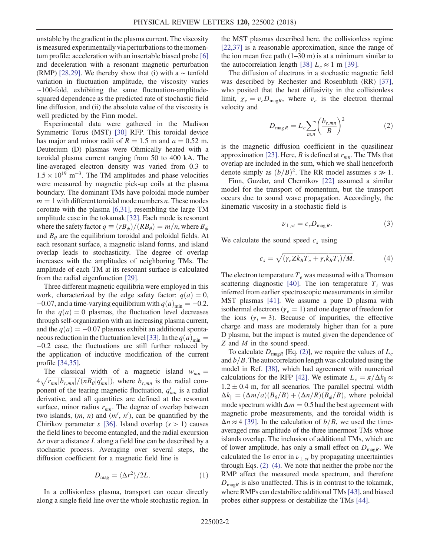unstable by the gradient in the plasma current. The viscosity is measured experimentally via perturbations to the momentum profile: acceleration with an insertable biased probe [\[6\]](#page-4-5) and deceleration with a resonant magnetic perturbation (RMP) [\[28,29\].](#page-4-16) We thereby show that (i) with a  $\sim$  tenfold variation in fluctuation amplitude, the viscosity varies ∼100-fold, exhibiting the same fluctuation-amplitudesquared dependence as the predicted rate of stochastic field line diffusion, and (ii) the absolute value of the viscosity is well predicted by the Finn model.

Experimental data were gathered in the Madison Symmetric Torus (MST) [\[30\]](#page-5-0) RFP. This toroidal device has major and minor radii of  $R = 1.5$  m and  $a = 0.52$  m. Deuterium (D) plasmas were Ohmically heated with a toroidal plasma current ranging from 50 to 400 kA. The line-averaged electron density was varied from 0.3 to  $1.5 \times 10^{19}$  m<sup>-3</sup>. The TM amplitudes and phase velocities were measured by magnetic pick-up coils at the plasma boundary. The dominant TMs have poloidal mode number  $m = 1$  with different toroidal mode numbers *n*. These modes corotate with the plasma [\[6,31\]](#page-4-5), resembling the large TM amplitude case in the tokamak [\[32\]](#page-5-1). Each mode is resonant where the safety factor  $q \equiv (rB_{\phi})/(RB_{\theta})=m/n$ , where  $B_{\phi}$ and  $B_{\theta}$  are the equilibrium toroidal and poloidal fields. At each resonant surface, a magnetic island forms, and island overlap leads to stochasticity. The degree of overlap increases with the amplitudes of neighboring TMs. The amplitude of each TM at its resonant surface is calculated from the radial eigenfunction [\[29\]](#page-4-17).

Three different magnetic equilibria were employed in this work, characterized by the edge safety factor:  $q(a) = 0$ ,  $-0.07$ , and a time-varying equilibrium with  $q(a)_{min} = -0.2$ . In the  $q(a) = 0$  plasmas, the fluctuation level decreases through self-organization with an increasing plasma current, and the  $q(a) = -0.07$  plasmas exhibit an additional sponta-neous reduction in the fluctuation level [\[33\]](#page-5-2). In the  $q(a)_{\text{min}} =$ −0.2 case, the fluctuations are still further reduced by the application of inductive modification of the current profile [\[34,35\]](#page-5-3).

The classical width of a magnetic island  $w_{mn} =$ The classical width of a magnetic island  $w_{mn} = 4\sqrt{r_{mn}|b_{r,mn}|/(nB_{\theta}|q'_{mn}|)}$ , where  $b_{r,mn}$  is the radial component of the tearing magnetic fluctuation,  $q'_{mn}$  is a radial derivative, and all quantities are defined at the resonant surface, minor radius  $r_{mn}$ . The degree of overlap between two islands,  $(m, n)$  and  $(m', n')$ , can be quantified by the Chirikov parameter s [\[36\]](#page-5-4). Island overlap  $(s > 1)$  causes the field lines to become entangled, and the radial excursion  $\Delta r$  over a distance L along a field line can be described by a stochastic process. Averaging over several steps, the diffusion coefficient for a magnetic field line is

$$
D_{\rm mag} = \langle \Delta r^2 \rangle / 2L. \tag{1}
$$

In a collisionless plasma, transport can occur directly along a single field line over the whole stochastic region. In the MST plasmas described here, the collisionless regime [\[22,37\]](#page-4-12) is a reasonable approximation, since the range of the ion mean free path  $(1-30 \text{ m})$  is at a minimum similar to the autocorrelation length [\[38\]](#page-5-5)  $L_c \approx 1$  m [\[39\].](#page-5-6)

<span id="page-1-0"></span>The diffusion of electrons in a stochastic magnetic field was described by Rechester and Rosenbluth (RR) [\[37\]](#page-5-7), who posited that the heat diffusivity in the collisionless limit,  $\chi_e = v_e D_{\text{mag}R}$ , where  $v_e$  is the electron thermal velocity and

$$
D_{\max R} = L_c \sum_{m,n} \left(\frac{b_{r,mn}}{B}\right)^2 \tag{2}
$$

is the magnetic diffusion coefficient in the quasilinear approximation [\[23\].](#page-4-13) Here, B is defined at  $r_{mn}$ . The TMs that overlap are included in the sum, which we shall henceforth denote simply as  $(b/B)^2$ . The RR model assumes  $s \gg 1$ .

<span id="page-1-2"></span>Finn, Guzdar, and Chernikov [\[22\]](#page-4-12) assumed a similar model for the transport of momentum, but the transport occurs due to sound wave propagation. Accordingly, the kinematic viscosity in a stochastic field is

$$
\nu_{\perp, st} = c_s D_{\text{mag }R}.\tag{3}
$$

<span id="page-1-1"></span>We calculate the sound speed  $c_s$  using

$$
c_s = \sqrt{(\gamma_e Z k_B T_e + \gamma_i k_B T_i)/M}.
$$
 (4)

The electron temperature  $T_e$  was measured with a Thomson scattering diagnostic [\[40\].](#page-5-8) The ion temperature  $T_i$  was inferred from earlier spectroscopic measurements in similar MST plasmas [\[41\].](#page-5-9) We assume a pure D plasma with isothermal electrons ( $\gamma_e = 1$ ) and one degree of freedom for the ions ( $\gamma_i = 3$ ). Because of impurities, the effective charge and mass are moderately higher than for a pure D plasma, but the impact is muted given the dependence of Z and M in the sound speed.

To calculate  $D_{\text{mag}}$  [Eq. [\(2\)\]](#page-1-0), we require the values of  $L_c$ and  $b/B$ . The autocorrelation length was calculated using the model in Ref. [\[38\]](#page-5-5), which had agreement with numerical calculations for the RFP [\[42\].](#page-5-10) We estimate  $L_c = \pi/\Delta k_{\parallel} \approx$  $1.2 \pm 0.4$  m, for all scenarios. The parallel spectral width  $\Delta k_{\parallel} = (\Delta m/a)(B_{\theta}/B) + (\Delta n/R)(B_{\phi}/B)$ , where poloidal mode spectrum width  $\Delta m = 0.5$  had the best agreement with magnetic probe measurements, and the toroidal width is  $\Delta n \approx 4$  [\[39\].](#page-5-6) In the calculation of  $b/B$ , we used the timeaveraged rms amplitude of the three innermost TMs whose islands overlap. The inclusion of additional TMs, which are of lower amplitude, has only a small effect on  $D_{\text{mag}}$ . We calculated the 1 $\sigma$  error in  $\nu_{\perp, st}$  by propagating uncertainties through Eqs. [\(2\)](#page-1-0)–[\(4\)](#page-1-1). We note that neither the probe nor the RMP affect the measured mode spectrum, and therefore  $D_{\text{max}}$  is also unaffected. This is in contrast to the tokamak, where RMPs can destabilize additional TMs[\[43\],](#page-5-11) and biased probes either suppress or destabilize the TMs [\[44\]](#page-5-12).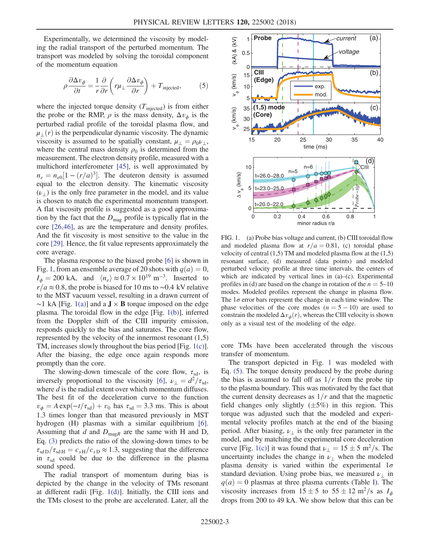<span id="page-2-1"></span>Experimentally, we determined the viscosity by modeling the radial transport of the perturbed momentum. The transport was modeled by solving the toroidal component of the momentum equation

$$
\rho \frac{\partial \Delta v_{\phi}}{\partial t} = \frac{1}{r} \frac{\partial}{\partial r} \left( r \mu_{\perp} \frac{\partial \Delta v_{\phi}}{\partial r} \right) + T_{\text{injected}}, \tag{5}
$$

where the injected torque density  $(T_{\text{injected}})$  is from either the probe or the RMP,  $\rho$  is the mass density,  $\Delta v_{\phi}$  is the perturbed radial profile of the toroidal plasma flow, and  $\mu_{\perp}(r)$  is the perpendicular dynamic viscosity. The dynamic viscosity is assumed to be spatially constant,  $\mu_{\perp} = \rho_0 \nu_{\perp}$ , where the central mass density  $\rho_0$  is determined from the measurement. The electron density profile, measured with a multichord interferometer [\[45\]](#page-5-13), is well approximated by  $n_e = n_{e0}[1 - (r/a)^3]$ . The deuteron density is assumed equal to the electron density. The kinematic viscosity  $(\nu_{\perp})$  is the only free parameter in the model, and its value is chosen to match the experimental momentum transport. A flat viscosity profile is suggested as a good approximation by the fact that the  $D_{\text{mag}}$  profile is typically flat in the core [\[26,46\]](#page-4-15), as are the temperature and density profiles. And the fit viscosity is most sensitive to the value in the core [\[29\].](#page-4-17) Hence, the fit value represents approximately the core average.

The plasma response to the biased probe [\[6\]](#page-4-5) is shown in Fig. [1,](#page-2-0) from an ensemble average of 20 shots with  $q(a) = 0$ ,  $I_{\phi} = 200 \text{ kA}$ , and  $\langle n_e \rangle \approx 0.7 \times 10^{19} \text{ m}^{-3}$ . Inserted to  $r/a \approx 0.8$ , the probe is biased for 10 ms to ∼0.4 kV relative to the MST vacuum vessel, resulting in a drawn current of  $~\sim$ 1 kA [Fig. [1\(a\)\]](#page-2-0) and a **J** × **B** torque imposed on the edge plasma. The toroidal flow in the edge [Fig. [1\(b\)](#page-2-0)], inferred from the Doppler shift of the CIII impurity emission, responds quickly to the bias and saturates. The core flow, represented by the velocity of the innermost resonant  $(1,5)$ TM, increases slowly throughout the bias period [Fig. [1\(c\)](#page-2-0)]. After the biasing, the edge once again responds more promptly than the core.

The slowing-down timescale of the core flow,  $\tau_{sd}$ , is inversely proportional to the viscosity [\[6\]](#page-4-5),  $\nu_{\perp} = d^2/\tau_{sd}$ , where  $d$  is the radial extent over which momentum diffuses. The best fit of the deceleration curve to the function  $v_{\phi} = A \exp(-t/\tau_{sd}) + v_0$  has  $\tau_{sd} = 3.3$  ms. This is about 1.3 times longer than that measured previously in MST hydrogen (H) plasmas with a similar equilibrium [\[6\]](#page-4-5). Assuming that  $d$  and  $D_{\text{mag}R}$  are the same with H and D, Eq. [\(3\)](#page-1-2) predicts the ratio of the slowing-down times to be  $\tau_{sdD}/\tau_{sdH} = c_{sH}/c_{sD} \approx 1.3$ , suggesting that the difference in  $\tau_{sd}$  could be due to the difference in the plasma sound speed.

The radial transport of momentum during bias is depicted by the change in the velocity of TMs resonant at different radii [Fig. [1\(d\)](#page-2-0)]. Initially, the CIII ions and the TMs closest to the probe are accelerated. Later, all the

<span id="page-2-0"></span>

FIG. 1. (a) Probe bias voltage and current, (b) CIII toroidal flow and modeled plasma flow at  $r/a = 0.81$ , (c) toroidal phase velocity of central  $(1,5)$  TM and modeled plasma flow at the  $(1,5)$ resonant surface, (d) measured (data points) and modeled perturbed velocity profile at three time intervals, the centers of which are indicated by vertical lines in (a)–(c). Experimental profiles in (d) are based on the change in rotation of the  $n = 5{\text -}10$ modes. Modeled profiles represent the change in plasma flow. The  $1\sigma$  error bars represent the change in each time window. The phase velocities of the core modes  $(n = 5 - 10)$  are used to constrain the modeled  $\Delta v_{\phi}(r)$ , whereas the CIII velocity is shown only as a visual test of the modeling of the edge.

core TMs have been accelerated through the viscous transfer of momentum.

The transport depicted in Fig. [1](#page-2-0) was modeled with Eq. [\(5\).](#page-2-1) The torque density produced by the probe during the bias is assumed to fall off as  $1/r$  from the probe tip to the plasma boundary. This was motivated by the fact that the current density decreases as  $1/r$  and that the magnetic field changes only slightly  $(\pm 5\%)$  in this region. This torque was adjusted such that the modeled and experimental velocity profiles match at the end of the biasing period. After biasing,  $\nu_{\perp}$  is the only free parameter in the model, and by matching the experimental core deceleration curve [Fig. [1\(c\)](#page-2-0)] it was found that  $\nu_{\perp} = 15 \pm 5 \text{ m}^2/\text{s}$ . The uncertainty includes the change in  $\nu_{\perp}$  when the modeled plasma density is varied within the experimental  $1\sigma$ standard deviation. Using probe bias, we measured  $\nu_{\perp}$  in  $q(a) = 0$  plasmas at three plasma currents (Table [I](#page-3-0)). The viscosity increases from  $15 \pm 5$  to  $55 \pm 12$  m<sup>2</sup>/s as  $I_{\phi}$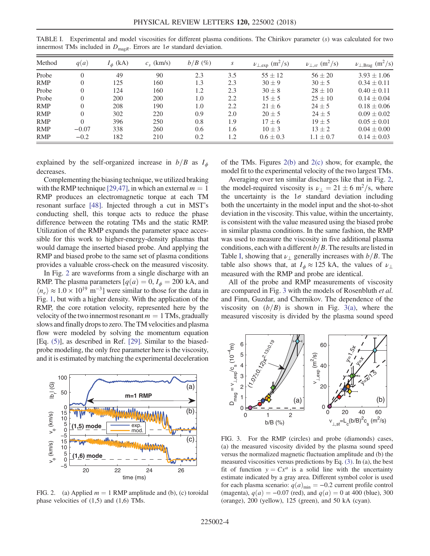| Method     | q(a)     | $I_{\phi}$ (kA) | $c_{s}$ (km/s) | $b/B$ (%) | S   | $\nu_{\perp, \text{exp}}$ (m <sup>2</sup> /s) | $\nu_{\perp, st}$ (m <sup>2</sup> /s) | $\nu_{\perp,\text{Brag}}$ (m <sup>2</sup> /s) |
|------------|----------|-----------------|----------------|-----------|-----|-----------------------------------------------|---------------------------------------|-----------------------------------------------|
| Probe      | 0        | 49              | 90             | 2.3       | 3.5 | $55 \pm 12$                                   | $56 \pm 20$                           | $3.93 \pm 1.06$                               |
| <b>RMP</b> | $\Omega$ | 125             | 160            | 1.3       | 2.3 | $30 + 9$                                      | $30 + 5$                              | $0.34 \pm 0.11$                               |
| Probe      | 0        | 124             | 160            | 1.2       | 2.3 | $30 \pm 8$                                    | $28 \pm 10$                           | $0.40 \pm 0.11$                               |
| Probe      |          | 200             | 200            | 1.0       | 2.2 | $15 \pm 5$                                    | $25 \pm 10$                           | $0.14 \pm 0.04$                               |
| <b>RMP</b> |          | 208             | 190            | 1.0       | 2.2 | $21 \pm 6$                                    | $24 \pm 5$                            | $0.18 \pm 0.06$                               |
| <b>RMP</b> | $\Omega$ | 302             | 220            | 0.9       | 2.0 | $20 \pm 5$                                    | $24 + 5$                              | $0.09 \pm 0.02$                               |
| <b>RMP</b> | $\Omega$ | 396             | 250            | 0.8       | 1.9 | $17 \pm 6$                                    | $19 + 5$                              | $0.05 \pm 0.01$                               |
| <b>RMP</b> | $-0.07$  | 338             | 260            | 0.6       | 1.6 | $10 \pm 3$                                    | $13 \pm 2$                            | $0.04 \pm 0.00$                               |
| <b>RMP</b> | $-0.2$   | 182             | 210            | 0.2       | 1.2 | $0.6 \pm 0.3$                                 | $1.1 \pm 0.7$                         | $0.14 \pm 0.03$                               |

<span id="page-3-0"></span>TABLE I. Experimental and model viscosities for different plasma conditions. The Chirikov parameter (s) was calculated for two innermost TMs included in  $D_{\text{mag}}$ . Errors are  $1\sigma$  standard deviation.

explained by the self-organized increase in  $b/B$  as  $I_{\phi}$ decreases.

Complementing the biasing technique, we utilized braking with the RMP technique [\[29,47\]](#page-4-17), in which an external  $m = 1$ RMP produces an electromagnetic torque at each TM resonant surface [\[48\]](#page-5-14). Injected through a cut in MST's conducting shell, this torque acts to reduce the phase difference between the rotating TMs and the static RMP. Utilization of the RMP expands the parameter space accessible for this work to higher-energy-density plasmas that would damage the inserted biased probe. And applying the RMP and biased probe to the same set of plasma conditions provides a valuable cross-check on the measured viscosity.

In Fig. [2](#page-3-1) are waveforms from a single discharge with an RMP. The plasma parameters  $[q(a) = 0, I_{\phi} = 200 \text{ kA}, \text{ and}$  $\langle n_e \rangle \approx 1.0 \times 10^{19}$  m<sup>-3</sup>] were similar to those for the data in Fig. [1](#page-2-0), but with a higher density. With the application of the RMP, the core rotation velocity, represented here by the velocity of the two innermost resonant  $m = 1$  TMs, gradually slows and finally drops to zero. The TM velocities and plasma flow were modeled by solving the momentum equation [Eq. [\(5\)\]](#page-2-1), as described in Ref. [\[29\].](#page-4-17) Similar to the biasedprobe modeling, the only free parameter here is the viscosity, and it is estimated by matching the experimental deceleration

<span id="page-3-1"></span>

FIG. 2. (a) Applied  $m = 1$  RMP amplitude and (b), (c) toroidal phase velocities of  $(1,5)$  and  $(1,6)$  TMs.

of the TMs. Figures [2\(b\)](#page-3-1) and [2\(c\)](#page-3-1) show, for example, the model fit to the experimental velocity of the two largest TMs.

Averaging over ten similar discharges like that in Fig. [2](#page-3-1), the model-required viscosity is  $\nu_{\perp} = 21 \pm 6$  m<sup>2</sup>/s, where the uncertainty is the  $1\sigma$  standard deviation including both the uncertainty in the model input and the shot-to-shot deviation in the viscosity. This value, within the uncertainty, is consistent with the value measured using the biased probe in similar plasma conditions. In the same fashion, the RMP was used to measure the viscosity in five additional plasma conditions, each with a different  $b/B$ . The results are listed in Table [I,](#page-3-0) showing that  $\nu_{\perp}$  generally increases with  $b/B$ . The table also shows that, at  $I_{\phi} \approx 125$  kA, the values of  $\nu_{\perp}$ measured with the RMP and probe are identical.

All of the probe and RMP measurements of viscosity are compared in Fig. [3](#page-3-2) with the models of Rosenbluth et al. and Finn, Guzdar, and Chernikov. The dependence of the viscosity on  $(b/B)$  is shown in Fig. [3\(a\),](#page-3-2) where the measured viscosity is divided by the plasma sound speed

<span id="page-3-2"></span>

FIG. 3. For the RMP (circles) and probe (diamonds) cases, (a) the measured viscosity divided by the plasma sound speed versus the normalized magnetic fluctuation amplitude and (b) the measured viscosities versus predictions by Eq. [\(3\)](#page-1-2). In (a), the best fit of function  $y = Cx^{\alpha}$  is a solid line with the uncertainty estimate indicated by a gray area. Different symbol color is used for each plasma scenario:  $q(a)_{min} = -0.2$  current profile control (magenta),  $q(a) = -0.07$  (red), and  $q(a) = 0$  at 400 (blue), 300 (orange), 200 (yellow), 125 (green), and 50 kA (cyan).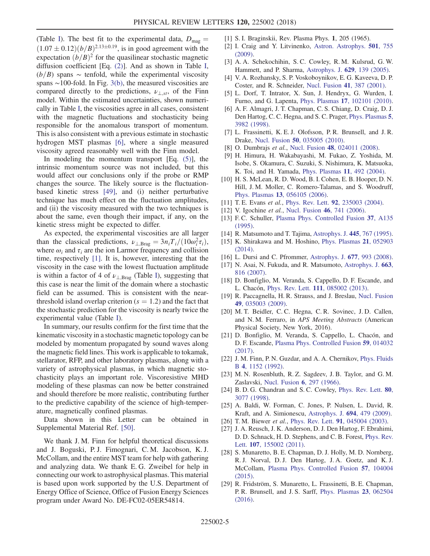(Table [I](#page-3-0)). The best fit to the experimental data,  $D_{\text{mag}} =$  $(1.07 \pm 0.12)(b/B)^{2.13 \pm 0.19}$ , is in good agreement with the expectation  $(b/B)^2$  for the quasilinear stochastic magnetic diffusion coefficient [Eq. [\(2\)](#page-1-0)]. And as shown in Table [I](#page-3-0),  $(b/B)$  spans ∼ tenfold, while the experimental viscosity spans ∼100-fold. In Fig. [3\(b\),](#page-3-2) the measured viscosities are compared directly to the predictions,  $v_{\perp, st}$ , of the Finn model. Within the estimated uncertainties, shown numerically in Table [I](#page-3-0), the viscosities agree in all cases, consistent with the magnetic fluctuations and stochasticity being responsible for the anomalous transport of momentum. This is also consistent with a previous estimate in stochastic hydrogen MST plasmas [\[6\]](#page-4-5), where a single measured viscosity agreed reasonably well with the Finn model.

In modeling the momentum transport  $[Eq. (5)]$  $[Eq. (5)]$  $[Eq. (5)]$ , the intrinsic momentum source was not included, but this would affect our conclusions only if the probe or RMP changes the source. The likely source is the fluctuationbased kinetic stress [\[49\]](#page-5-15), and (i) neither perturbative technique has much effect on the fluctuation amplitudes, and (ii) the viscosity measured with the two techniques is about the same, even though their impact, if any, on the kinetic stress might be expected to differ.

As expected, the experimental viscosities are all larger than the classical predictions,  $\nu_{\perp,\text{Brag}} = 3n_iT_i/(10\omega_i^2\tau_i)$ , where  $\omega_i$  and  $\tau_i$  are the ion Larmor frequency and collision time, respectively [\[1\]](#page-4-0). It is, however, interesting that the viscosity in the case with the lowest fluctuation amplitude is within a factor of 4 of  $\nu_{\perp,\text{Brag}}$  (Table [I](#page-3-0)), suggesting that this case is near the limit of the domain where a stochastic field can be assumed. This is consistent with the nearthreshold island overlap criterion  $(s = 1.2)$  and the fact that the stochastic prediction for the viscosity is nearly twice the experimental value (Table [I\)](#page-3-0).

In summary, our results confirm for the first time that the kinematic viscosity in a stochastic magnetic topology can be modeled by momentum propagated by sound waves along the magnetic field lines. This work is applicable to tokamak, stellarator, RFP, and other laboratory plasmas, along with a variety of astrophysical plasmas, in which magnetic stochasticity plays an important role. Viscoresistive MHD modeling of these plasmas can now be better constrained and should therefore be more realistic, contributing further to the predictive capability of the science of high-temperature, magnetically confined plasmas.

Data shown in this Letter can be obtained in Supplemental Material Ref. [\[50\].](#page-5-16)

We thank J. M. Finn for helpful theoretical discussions and J. Boguski, P. J. Fimognari, C. M. Jacobson, K. J. McCollam, and the entire MST team for help with gathering and analyzing data. We thank E. G. Zweibel for help in connecting our work to astrophysical plasmas. This material is based upon work supported by the U.S. Department of Energy Office of Science, Office of Fusion Energy Sciences program under Award No. DE-FC02-05ER54814.

- <span id="page-4-0"></span>[1] S. I. Braginskii, Rev. Plasma Phys. 1, 205 (1965).
- <span id="page-4-1"></span>[2] I. Craig and Y. Litvinenko, [Astron. Astrophys.](https://doi.org/10.1051/0004-6361/200911784) 501, 755 [\(2009\).](https://doi.org/10.1051/0004-6361/200911784)
- <span id="page-4-2"></span>[3] A. A. Schekochihin, S. C. Cowley, R. M. Kulsrud, G. W. Hammett, and P. Sharma, [Astrophys. J.](https://doi.org/10.1086/431202) 629, 139 (2005).
- <span id="page-4-3"></span>[4] V. A. Rozhansky, S. P. Voskoboynikov, E. G. Kaveeva, D. P. Coster, and R. Schneider, [Nucl. Fusion](https://doi.org/10.1088/0029-5515/41/4/305) 41, 387 (2001).
- <span id="page-4-4"></span>[5] L. Dorf, T. Intrator, X. Sun, J. Hendryx, G. Wurden, I. Furno, and G. Lapenta, Phys. Plasmas 17[, 102101 \(2010\).](https://doi.org/10.1063/1.3478422)
- <span id="page-4-5"></span>[6] A. F. Almagri, J. T. Chapman, C. S. Chiang, D. Craig, D. J. Den Hartog, C. C. Hegna, and S. C. Prager, [Phys. Plasmas](https://doi.org/10.1063/1.873118) 5, [3982 \(1998\)](https://doi.org/10.1063/1.873118).
- [7] L. Frassinetti, K. E. J. Olofsson, P. R. Brunsell, and J. R. Drake, Nucl. Fusion 50[, 035005 \(2010\).](https://doi.org/10.1088/0029-5515/50/3/035005)
- <span id="page-4-6"></span>[8] O. Dumbrajs et al., Nucl. Fusion 48[, 024011 \(2008\).](https://doi.org/10.1088/0029-5515/48/2/024011)
- [9] H. Himura, H. Wakabayashi, M. Fukao, Z. Yoshida, M. Isobe, S. Okamura, C. Suzuki, S. Nishimura, K. Matsuoka, K. Toi, and H. Yamada, [Phys. Plasmas](https://doi.org/10.1063/1.1635823) 11, 492 (2004).
- [10] H. S. McLean, R. D. Wood, B. I. Cohen, E. B. Hooper, D. N. Hill, J. M. Moller, C. Romero-Talamas, and S. Woodruff, Phys. Plasmas 13[, 056105 \(2006\)](https://doi.org/10.1063/1.2192469).
- <span id="page-4-8"></span><span id="page-4-7"></span>[11] T. E. Evans et al., Phys. Rev. Lett. 92[, 235003 \(2004\)](https://doi.org/10.1103/PhysRevLett.92.235003).
- <span id="page-4-9"></span>[12] V. Igochine et al., [Nucl. Fusion](https://doi.org/10.1088/0029-5515/46/7/006) 46, 741 (2006).
- [13] F. C. Schuller, [Plasma Phys. Controlled Fusion](https://doi.org/10.1088/0741-3335/37/11A/009) 37, A135 [\(1995\).](https://doi.org/10.1088/0741-3335/37/11A/009)
- <span id="page-4-10"></span>[14] R. Matsumoto and T. Tajima, [Astrophys. J.](https://doi.org/10.1086/175739) 445, 767 (1995).
- [15] K. Shirakawa and M. Hoshino, [Phys. Plasmas](https://doi.org/10.1063/1.4875739) 21, 052903 [\(2014\).](https://doi.org/10.1063/1.4875739)
- <span id="page-4-11"></span>[16] L. Dursi and C. Pfrommer, [Astrophys. J.](https://doi.org/10.1086/529371) 677, 993 (2008).
- [17] N. Asai, N. Fukuda, and R. Matsumoto, [Astrophys. J.](https://doi.org/10.1086/518235) 663, [816 \(2007\)](https://doi.org/10.1086/518235).
- [18] D. Bonfiglio, M. Veranda, S. Cappello, D. F. Escande, and L. Chacón, Phys. Rev. Lett. 111[, 085002 \(2013\).](https://doi.org/10.1103/PhysRevLett.111.085002)
- [19] R. Paccagnella, H. R. Strauss, and J. Breslau, [Nucl. Fusion](https://doi.org/10.1088/0029-5515/49/3/035003) 49[, 035003 \(2009\).](https://doi.org/10.1088/0029-5515/49/3/035003)
- [20] M. T. Beidler, C. C. Hegna, C. R. Sovinec, J. D. Callen, and N. M. Ferraro, in APS Meeting Abstracts (American Physical Society, New York, 2016).
- [21] D. Bonfiglio, M. Veranda, S. Cappello, L. Chacón, and D. F. Escande, [Plasma Phys. Controlled Fusion](https://doi.org/10.1088/0741-3335/59/1/014032) 59, 014032 [\(2017\).](https://doi.org/10.1088/0741-3335/59/1/014032)
- <span id="page-4-12"></span>[22] J. M. Finn, P. N. Guzdar, and A. A. Chernikov, [Phys. Fluids](https://doi.org/10.1063/1.860123) B 4[, 1152 \(1992\)](https://doi.org/10.1063/1.860123).
- <span id="page-4-13"></span>[23] M. N. Rosenbluth, R. Z. Sagdeev, J. B. Taylor, and G. M. Zaslavski, [Nucl. Fusion](https://doi.org/10.1088/0029-5515/6/4/008) 6, 297 (1966).
- <span id="page-4-14"></span>[24] B.D.G. Chandran and S.C. Cowley, [Phys. Rev. Lett.](https://doi.org/10.1103/PhysRevLett.80.3077) 80, [3077 \(1998\)](https://doi.org/10.1103/PhysRevLett.80.3077).
- [25] A. Baldi, W. Forman, C. Jones, P. Nulsen, L. David, R. Kraft, and A. Simionescu, [Astrophys. J.](https://doi.org/10.1088/0004-637X/694/1/479) 694, 479 (2009).
- <span id="page-4-15"></span>[26] T.M. Biewer et al., Phys. Rev. Lett. 91[, 045004 \(2003\)](https://doi.org/10.1103/PhysRevLett.91.045004).
- [27] J. A. Reusch, J. K. Anderson, D. J. Den Hartog, F. Ebrahimi, D. D. Schnack, H. D. Stephens, and C. B. Forest, [Phys. Rev.](https://doi.org/10.1103/PhysRevLett.107.155002) Lett. 107[, 155002 \(2011\)](https://doi.org/10.1103/PhysRevLett.107.155002).
- <span id="page-4-16"></span>[28] S. Munaretto, B. E. Chapman, D. J. Holly, M. D. Nornberg, R. J. Norval, D. J. Den Hartog, J. A. Goetz, and K. J. McCollam, [Plasma Phys. Controlled Fusion](https://doi.org/10.1088/0741-3335/57/10/104004) 57, 104004 [\(2015\).](https://doi.org/10.1088/0741-3335/57/10/104004)
- <span id="page-4-17"></span>[29] R. Fridström, S. Munaretto, L. Frassinetti, B. E. Chapman, P. R. Brunsell, and J. S. Sarff, [Phys. Plasmas](https://doi.org/10.1063/1.4953438) 23, 062504 [\(2016\).](https://doi.org/10.1063/1.4953438)